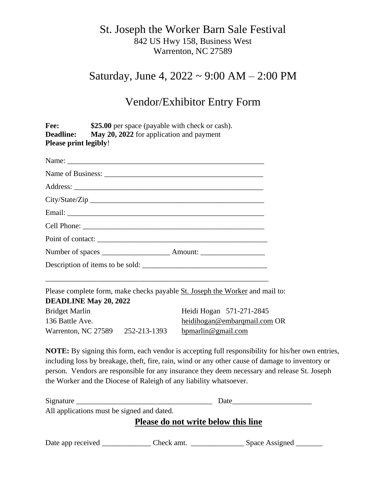#### St. Joseph the Worker Barn Sale Festival 842 US Hwy 158, Business West Warrenton, NC 27589

### Saturday, June 4, 2022 ~ 9:00 AM – 2:00 PM

## Vendor/Exhibitor Entry Form

| \$25.00 per space (payable with check or cash).<br>Fee:<br>May 20, 2022 for application and payment<br><b>Deadline:</b><br><b>Please print legibly!</b> |                                                                                                                                                                                                                                                                                                       |                                                                              |                          |
|---------------------------------------------------------------------------------------------------------------------------------------------------------|-------------------------------------------------------------------------------------------------------------------------------------------------------------------------------------------------------------------------------------------------------------------------------------------------------|------------------------------------------------------------------------------|--------------------------|
|                                                                                                                                                         |                                                                                                                                                                                                                                                                                                       |                                                                              |                          |
|                                                                                                                                                         |                                                                                                                                                                                                                                                                                                       |                                                                              |                          |
|                                                                                                                                                         |                                                                                                                                                                                                                                                                                                       |                                                                              |                          |
|                                                                                                                                                         |                                                                                                                                                                                                                                                                                                       |                                                                              |                          |
| Description of items to be sold:                                                                                                                        |                                                                                                                                                                                                                                                                                                       |                                                                              |                          |
|                                                                                                                                                         |                                                                                                                                                                                                                                                                                                       |                                                                              |                          |
|                                                                                                                                                         |                                                                                                                                                                                                                                                                                                       | Please complete form, make checks payable St. Joseph the Worker and mail to: |                          |
|                                                                                                                                                         |                                                                                                                                                                                                                                                                                                       | <b>DEADLINE May 20, 2022</b>                                                 |                          |
|                                                                                                                                                         |                                                                                                                                                                                                                                                                                                       | <b>Bridget Marlin</b>                                                        | Heidi Hogan 571-271-2845 |
| 136 Battle Ave.                                                                                                                                         | heidihogan@embarqmail.com OR                                                                                                                                                                                                                                                                          |                                                                              |                          |
| Warrenton, NC 27589 252-213-1393                                                                                                                        | bpmarlin@gmail.com                                                                                                                                                                                                                                                                                    |                                                                              |                          |
| the Worker and the Diocese of Raleigh of any liability whatsoever.                                                                                      | NOTE: By signing this form, each vendor is accepting full responsibility for his/her own entries,<br>including loss by breakage, theft, fire, rain, wind or any other cause of damage to inventory or<br>person. Vendors are responsible for any insurance they deem necessary and release St. Joseph |                                                                              |                          |
|                                                                                                                                                         | Date                                                                                                                                                                                                                                                                                                  |                                                                              |                          |
| All applications must be signed and dated.                                                                                                              |                                                                                                                                                                                                                                                                                                       |                                                                              |                          |

**Please do not write below this line**

Date app received \_\_\_\_\_\_\_\_\_\_\_\_\_\_ Check amt. \_\_\_\_\_\_\_\_\_\_\_\_\_\_\_\_\_\_\_\_ Space Assigned \_\_\_\_\_\_\_\_